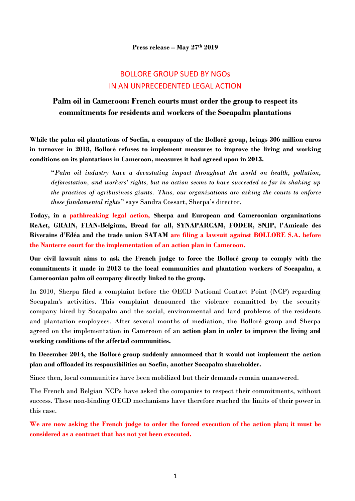## BOLLORE GROUP SUED BY NGOs IN AN UNPRECEDENTED LEGAL ACTION

## **Palm oil in Cameroon: French courts must order the group to respect its commitments for residents and workers of the Socapalm plantations**

**While the palm oil plantations of Socfin, a company of the Bolloré group, brings 306 million euros in turnover in 2018, Bolloré refuses to implement measures to improve the living and working conditions on its plantations in Cameroon, measures it had agreed upon in 2013.**

"*Palm oil industry have a devastating impact throughout the world on health, pollution, deforestation, and workers' rights, but no action seems to have succeeded so far in shaking up the practices of agribusiness giants. Thus, our organizations are asking the courts to enforce these fundamental rights*" says Sandra Cossart, Sherpa's director.

**Today, in a pathbreaking legal action, Sherpa and European and Cameroonian organizations ReAct, GRAIN, FIAN-Belgium, Bread for all, SYNAPARCAM, FODER, SNJP, l'Amicale des Riverains d'Edéa and the trade union SATAM are filing a lawsuit against BOLLORE S.A. before the Nanterre court for the implementation of an action plan in Cameroon.**

**Our civil lawsuit aims to ask the French judge to force the Bolloré group to comply with the commitments it made in 2013 to the local communities and plantation workers of Socapalm, a Cameroonian palm oil company directly linked to the group.** 

In 2010, Sherpa filed a complaint before the OECD National Contact Point (NCP) regarding Socapalm's activities. This complaint denounced the violence committed by the security company hired by Socapalm and the social, environmental and land problems of the residents and plantation employees. After several months of mediation, the Bolloré group and Sherpa agreed on the implementation in Cameroon of an **action plan in order to improve the living and working conditions of the affected communities.**

**In December 2014, the Bolloré group suddenly announced that it would not implement the action plan and offloaded its responsibilities on Socfin, another Socapalm shareholder.** 

Since then, local communities have been mobilized but their demands remain unanswered.

The French and Belgian NCPs have asked the companies to respect their commitments, without success. These non-binding OECD mechanisms have therefore reached the limits of their power in this case.

**We are now asking the French judge to order the forced execution of the action plan; it must be considered as a contract that has not yet been executed.**